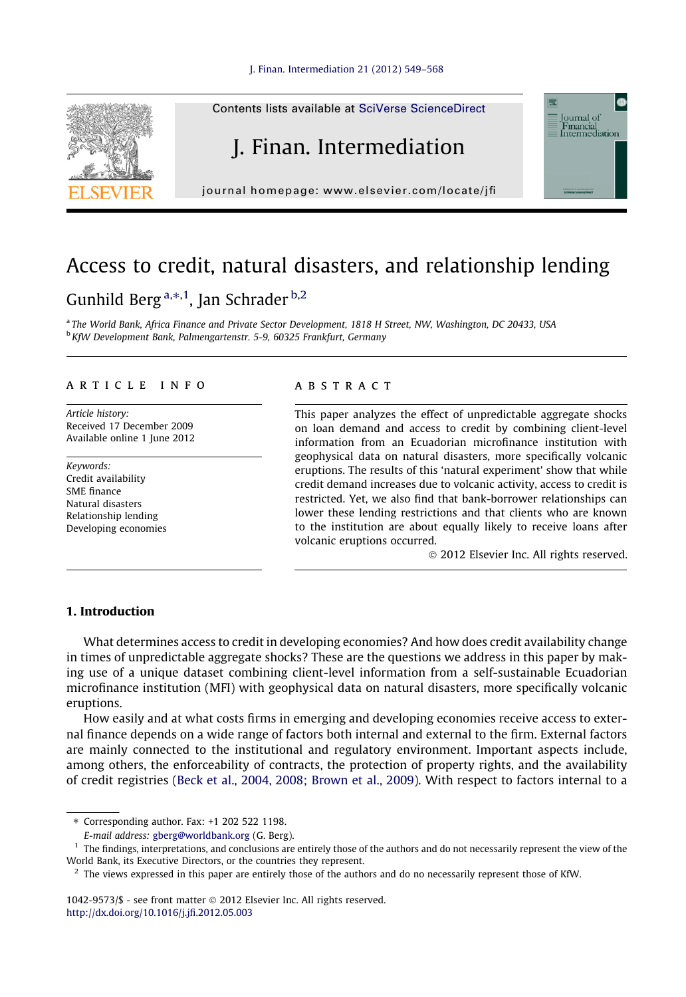

Contents lists available at [SciVerse ScienceDirect](http://www.sciencedirect.com/science/journal/10429573)

## J. Finan. Intermediation

journal homepage: [www.elsevier.com/locate/jfi](http://www.elsevier.com/locate/jfi)

### Access to credit, natural disasters, and relationship lending

### Gunhild Berg<sup>a,\*,1</sup>, Jan Schrader <sup>b,2</sup>

<sup>a</sup> The World Bank, Africa Finance and Private Sector Development, 1818 H Street, NW, Washington, DC 20433, USA <sup>b</sup> KfW Development Bank, Palmengartenstr. 5-9, 60325 Frankfurt, Germany

#### article info

Article history: Received 17 December 2009 Available online 1 June 2012

Keywords: Credit availability SME finance Natural disasters Relationship lending Developing economies

#### **ABSTRACT**

This paper analyzes the effect of unpredictable aggregate shocks on loan demand and access to credit by combining client-level information from an Ecuadorian microfinance institution with geophysical data on natural disasters, more specifically volcanic eruptions. The results of this 'natural experiment' show that while credit demand increases due to volcanic activity, access to credit is restricted. Yet, we also find that bank-borrower relationships can lower these lending restrictions and that clients who are known to the institution are about equally likely to receive loans after volcanic eruptions occurred.

- 2012 Elsevier Inc. All rights reserved.

Journal of Financial<br>Intermediation

#### 1. Introduction

What determines access to credit in developing economies? And how does credit availability change in times of unpredictable aggregate shocks? These are the questions we address in this paper by making use of a unique dataset combining client-level information from a self-sustainable Ecuadorian microfinance institution (MFI) with geophysical data on natural disasters, more specifically volcanic eruptions.

How easily and at what costs firms in emerging and developing economies receive access to external finance depends on a wide range of factors both internal and external to the firm. External factors are mainly connected to the institutional and regulatory environment. Important aspects include, among others, the enforceability of contracts, the protection of property rights, and the availability of credit registries ([Beck et al., 2004, 2008; Brown et al., 2009\)](#page--1-0). With respect to factors internal to a

1042-9573/\$ - see front matter @ 2012 Elsevier Inc. All rights reserved. <http://dx.doi.org/10.1016/j.jfi.2012.05.003>

<sup>⇑</sup> Corresponding author. Fax: +1 202 522 1198.

E-mail address: [gberg@worldbank.org](mailto:gberg@worldbank.org) (G. Berg).

 $1$  The findings, interpretations, and conclusions are entirely those of the authors and do not necessarily represent the view of the World Bank, its Executive Directors, or the countries they represent.

<sup>&</sup>lt;sup>2</sup> The views expressed in this paper are entirely those of the authors and do no necessarily represent those of KfW.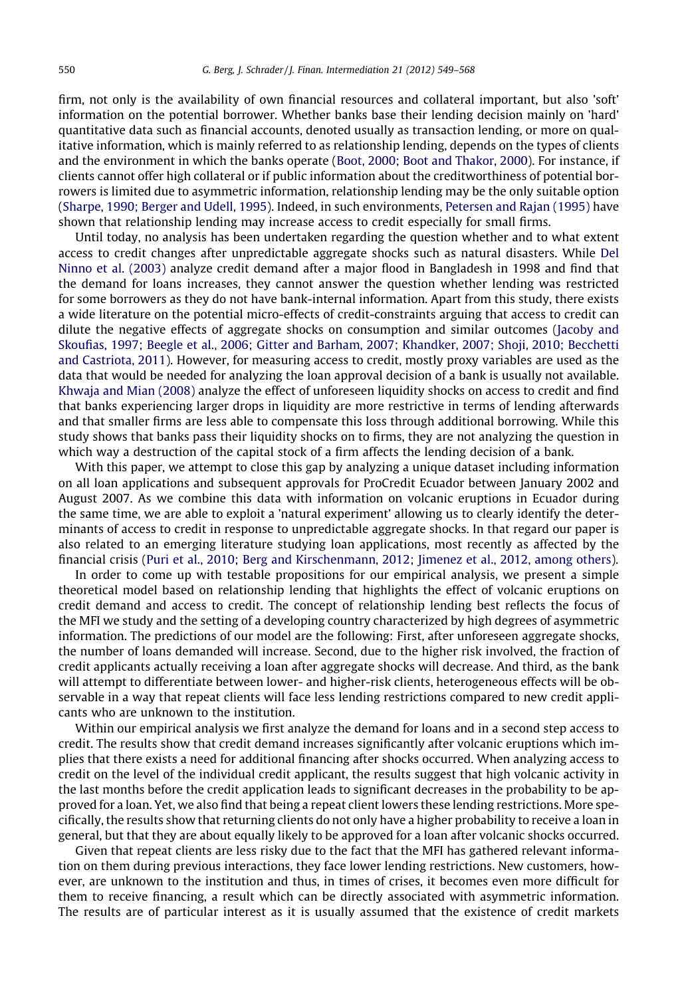firm, not only is the availability of own financial resources and collateral important, but also 'soft' information on the potential borrower. Whether banks base their lending decision mainly on 'hard' quantitative data such as financial accounts, denoted usually as transaction lending, or more on qualitative information, which is mainly referred to as relationship lending, depends on the types of clients and the environment in which the banks operate ([Boot, 2000; Boot and Thakor, 2000\)](#page--1-0). For instance, if clients cannot offer high collateral or if public information about the creditworthiness of potential borrowers is limited due to asymmetric information, relationship lending may be the only suitable option ([Sharpe, 1990; Berger and Udell, 1995](#page--1-0)). Indeed, in such environments, [Petersen and Rajan \(1995\)](#page--1-0) have shown that relationship lending may increase access to credit especially for small firms.

Until today, no analysis has been undertaken regarding the question whether and to what extent access to credit changes after unpredictable aggregate shocks such as natural disasters. While [Del](#page--1-0) [Ninno et al. \(2003\)](#page--1-0) analyze credit demand after a major flood in Bangladesh in 1998 and find that the demand for loans increases, they cannot answer the question whether lending was restricted for some borrowers as they do not have bank-internal information. Apart from this study, there exists a wide literature on the potential micro-effects of credit-constraints arguing that access to credit can dilute the negative effects of aggregate shocks on consumption and similar outcomes [\(Jacoby and](#page--1-0) [Skoufias, 1997; Beegle et al., 2006; Gitter and Barham, 2007; Khandker, 2007; Shoji, 2010; Becchetti](#page--1-0) [and Castriota, 2011](#page--1-0)). However, for measuring access to credit, mostly proxy variables are used as the data that would be needed for analyzing the loan approval decision of a bank is usually not available. [Khwaja and Mian \(2008\)](#page--1-0) analyze the effect of unforeseen liquidity shocks on access to credit and find that banks experiencing larger drops in liquidity are more restrictive in terms of lending afterwards and that smaller firms are less able to compensate this loss through additional borrowing. While this study shows that banks pass their liquidity shocks on to firms, they are not analyzing the question in which way a destruction of the capital stock of a firm affects the lending decision of a bank.

With this paper, we attempt to close this gap by analyzing a unique dataset including information on all loan applications and subsequent approvals for ProCredit Ecuador between January 2002 and August 2007. As we combine this data with information on volcanic eruptions in Ecuador during the same time, we are able to exploit a 'natural experiment' allowing us to clearly identify the determinants of access to credit in response to unpredictable aggregate shocks. In that regard our paper is also related to an emerging literature studying loan applications, most recently as affected by the financial crisis [\(Puri et al., 2010; Berg and Kirschenmann, 2012; Jimenez et al., 2012, among others](#page--1-0)).

In order to come up with testable propositions for our empirical analysis, we present a simple theoretical model based on relationship lending that highlights the effect of volcanic eruptions on credit demand and access to credit. The concept of relationship lending best reflects the focus of the MFI we study and the setting of a developing country characterized by high degrees of asymmetric information. The predictions of our model are the following: First, after unforeseen aggregate shocks, the number of loans demanded will increase. Second, due to the higher risk involved, the fraction of credit applicants actually receiving a loan after aggregate shocks will decrease. And third, as the bank will attempt to differentiate between lower- and higher-risk clients, heterogeneous effects will be observable in a way that repeat clients will face less lending restrictions compared to new credit applicants who are unknown to the institution.

Within our empirical analysis we first analyze the demand for loans and in a second step access to credit. The results show that credit demand increases significantly after volcanic eruptions which implies that there exists a need for additional financing after shocks occurred. When analyzing access to credit on the level of the individual credit applicant, the results suggest that high volcanic activity in the last months before the credit application leads to significant decreases in the probability to be approved for a loan. Yet, we also find that being a repeat client lowers these lending restrictions. More specifically, the results show that returning clients do not only have a higher probability to receive a loan in general, but that they are about equally likely to be approved for a loan after volcanic shocks occurred.

Given that repeat clients are less risky due to the fact that the MFI has gathered relevant information on them during previous interactions, they face lower lending restrictions. New customers, however, are unknown to the institution and thus, in times of crises, it becomes even more difficult for them to receive financing, a result which can be directly associated with asymmetric information. The results are of particular interest as it is usually assumed that the existence of credit markets